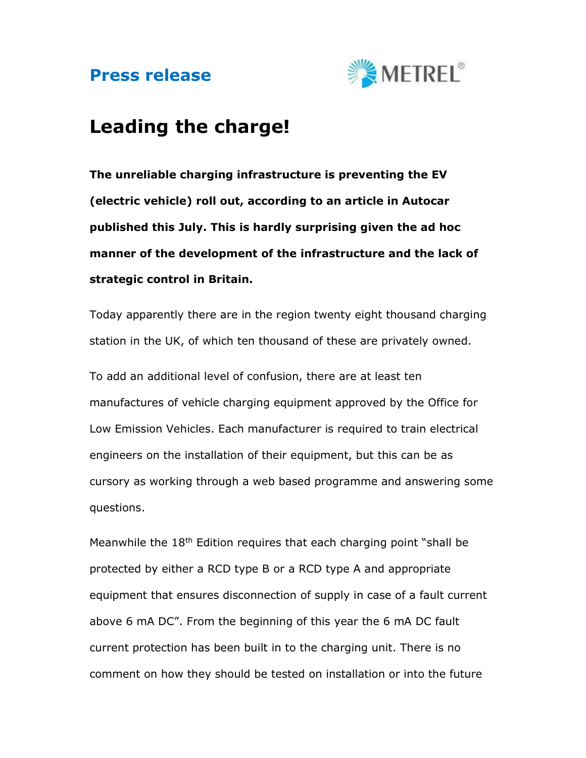## Press release



## Leading the charge!

The unreliable charging infrastructure is preventing the EV (electric vehicle) roll out, according to an article in Autocar published this July. This is hardly surprising given the ad hoc manner of the development of the infrastructure and the lack of strategic control in Britain.

Today apparently there are in the region twenty eight thousand charging station in the UK, of which ten thousand of these are privately owned.

To add an additional level of confusion, there are at least ten manufactures of vehicle charging equipment approved by the Office for Low Emission Vehicles. Each manufacturer is required to train electrical engineers on the installation of their equipment, but this can be as cursory as working through a web based programme and answering some questions.

Meanwhile the  $18<sup>th</sup>$  Edition requires that each charging point "shall be protected by either a RCD type B or a RCD type A and appropriate equipment that ensures disconnection of supply in case of a fault current above 6 mA DC". From the beginning of this year the 6 mA DC fault current protection has been built in to the charging unit. There is no comment on how they should be tested on installation or into the future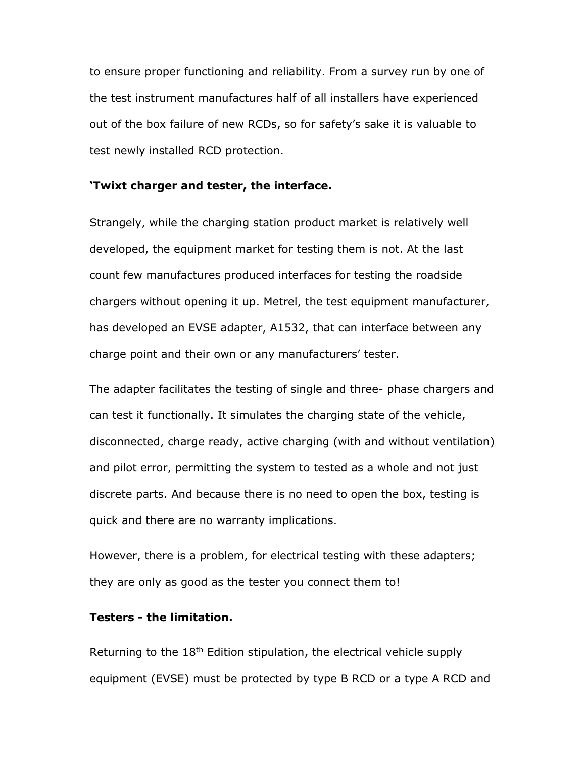to ensure proper functioning and reliability. From a survey run by one of the test instrument manufactures half of all installers have experienced out of the box failure of new RCDs, so for safety's sake it is valuable to test newly installed RCD protection.

## 'Twixt charger and tester, the interface.

Strangely, while the charging station product market is relatively well developed, the equipment market for testing them is not. At the last count few manufactures produced interfaces for testing the roadside chargers without opening it up. Metrel, the test equipment manufacturer, has developed an EVSE adapter, A1532, that can interface between any charge point and their own or any manufacturers' tester.

The adapter facilitates the testing of single and three- phase chargers and can test it functionally. It simulates the charging state of the vehicle, disconnected, charge ready, active charging (with and without ventilation) and pilot error, permitting the system to tested as a whole and not just discrete parts. And because there is no need to open the box, testing is quick and there are no warranty implications.

However, there is a problem, for electrical testing with these adapters; they are only as good as the tester you connect them to!

## Testers - the limitation.

Returning to the 18<sup>th</sup> Edition stipulation, the electrical vehicle supply equipment (EVSE) must be protected by type B RCD or a type A RCD and